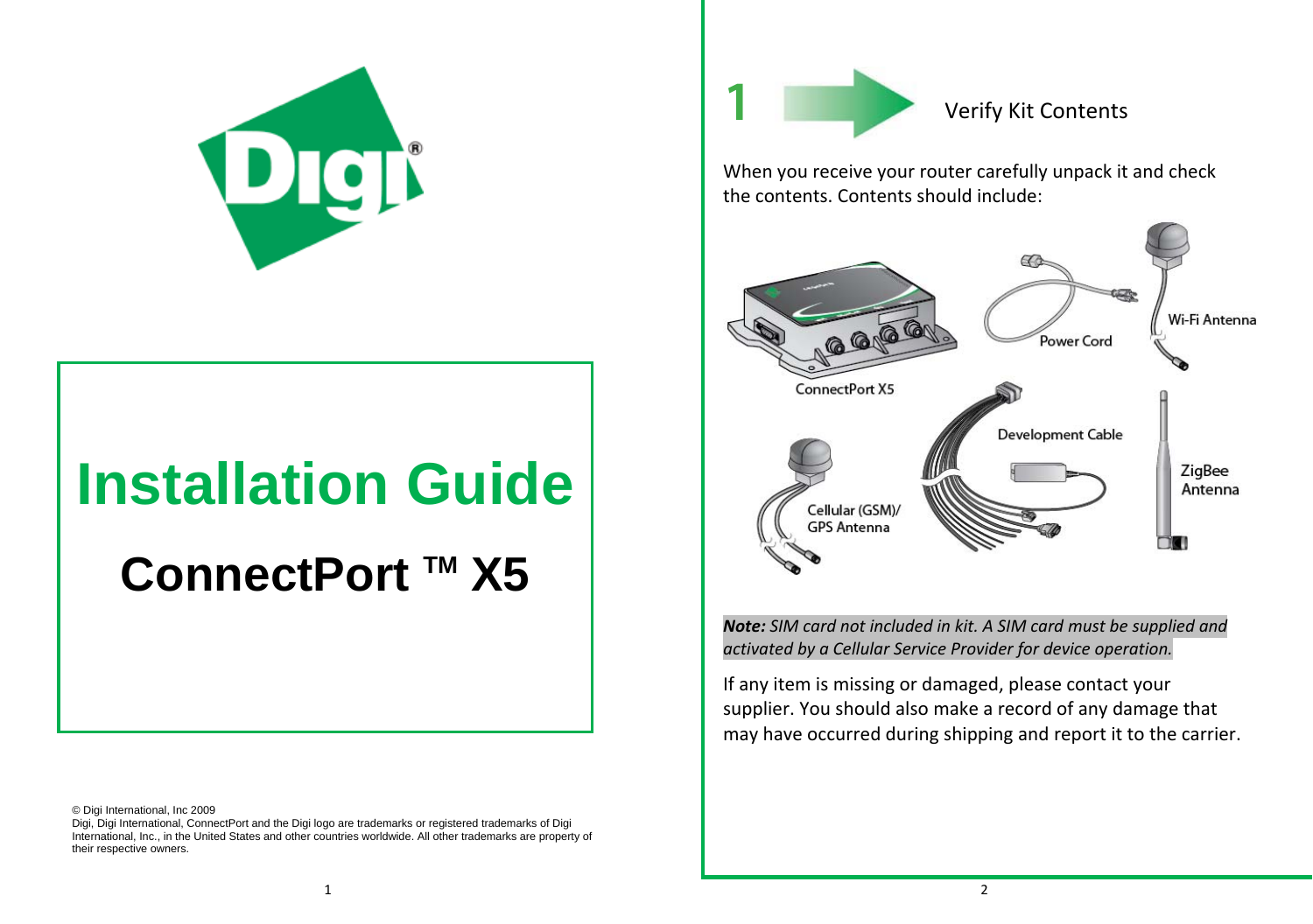

# **Installation Guide**

ConnectPort ™ X5

© Digi International, Inc 2009

Digi, Digi International, ConnectPort and the Digi logo are trademarks or registered trademarks of Digi International, Inc., in the United States and other countries worldwide. All other trademarks are property of their respective owners.



Verify Kit Contents

When you receive your router carefully unpack it and check the contents. Contents should include:



*Note: SIM card not included in kit. A SIM card must be supplied and activated by <sup>a</sup> Cellular Service Provider for device operation.*

If any item is missing or damaged, please contact your supplier. You should also make <sup>a</sup> record of any damage that may have occurred during shipping and report it to the carrier.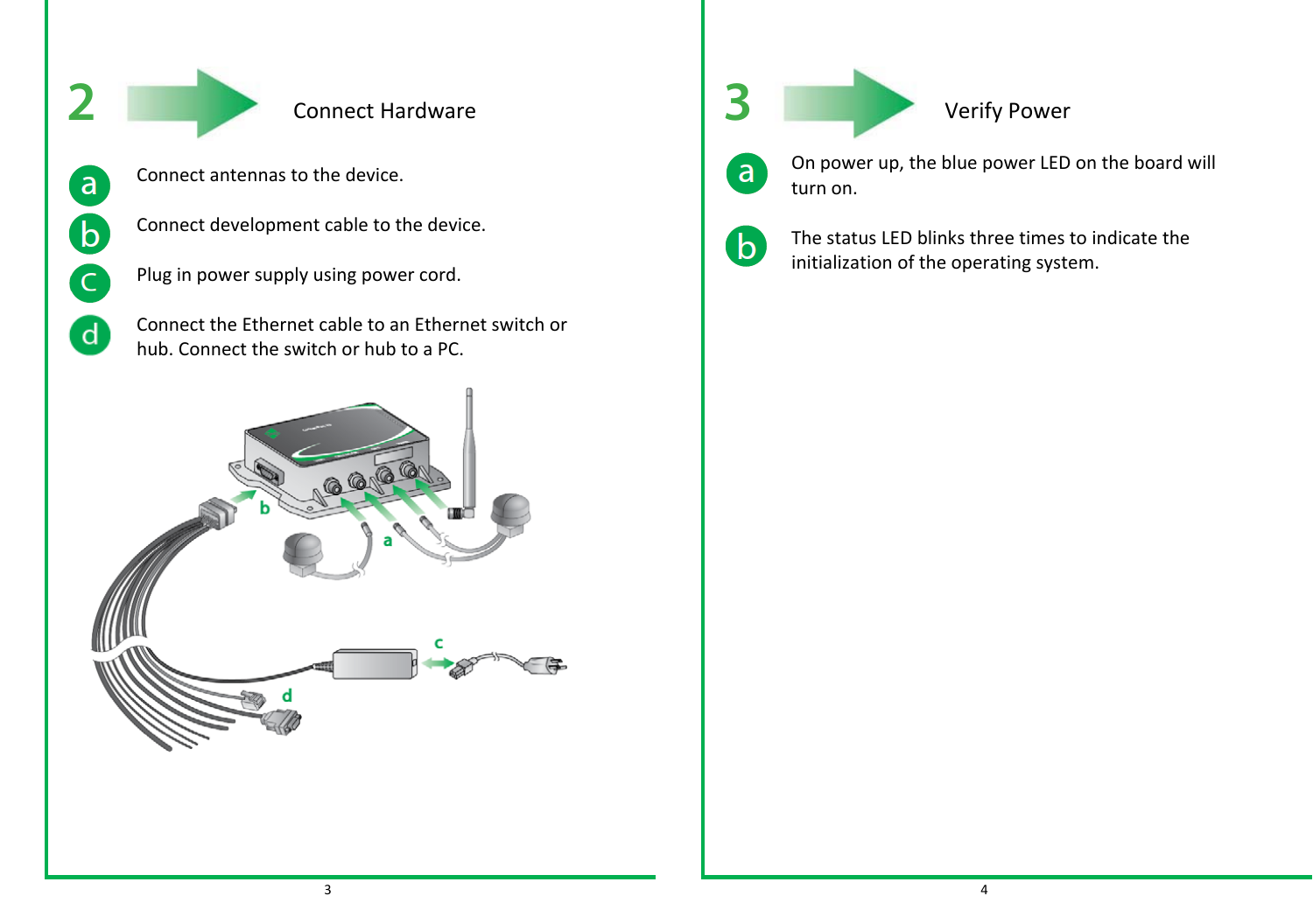

 $\mathsf{a}$ 

 $\mathbf{b}$ 

C

 $\mathbf d$ 

# Connect Hardware

- Connect antennas to the device.
- Connect development cable to the device.
- Plug in power supply using power cord.
- Connect the Ethernet cable to an Ethernet switch or hub. Connect the switch or hub to a PC.





### Verify Power



On power up, the blue power LED on the board will turn on.



The status LED blinks three times to indicate the initialization of the operating system.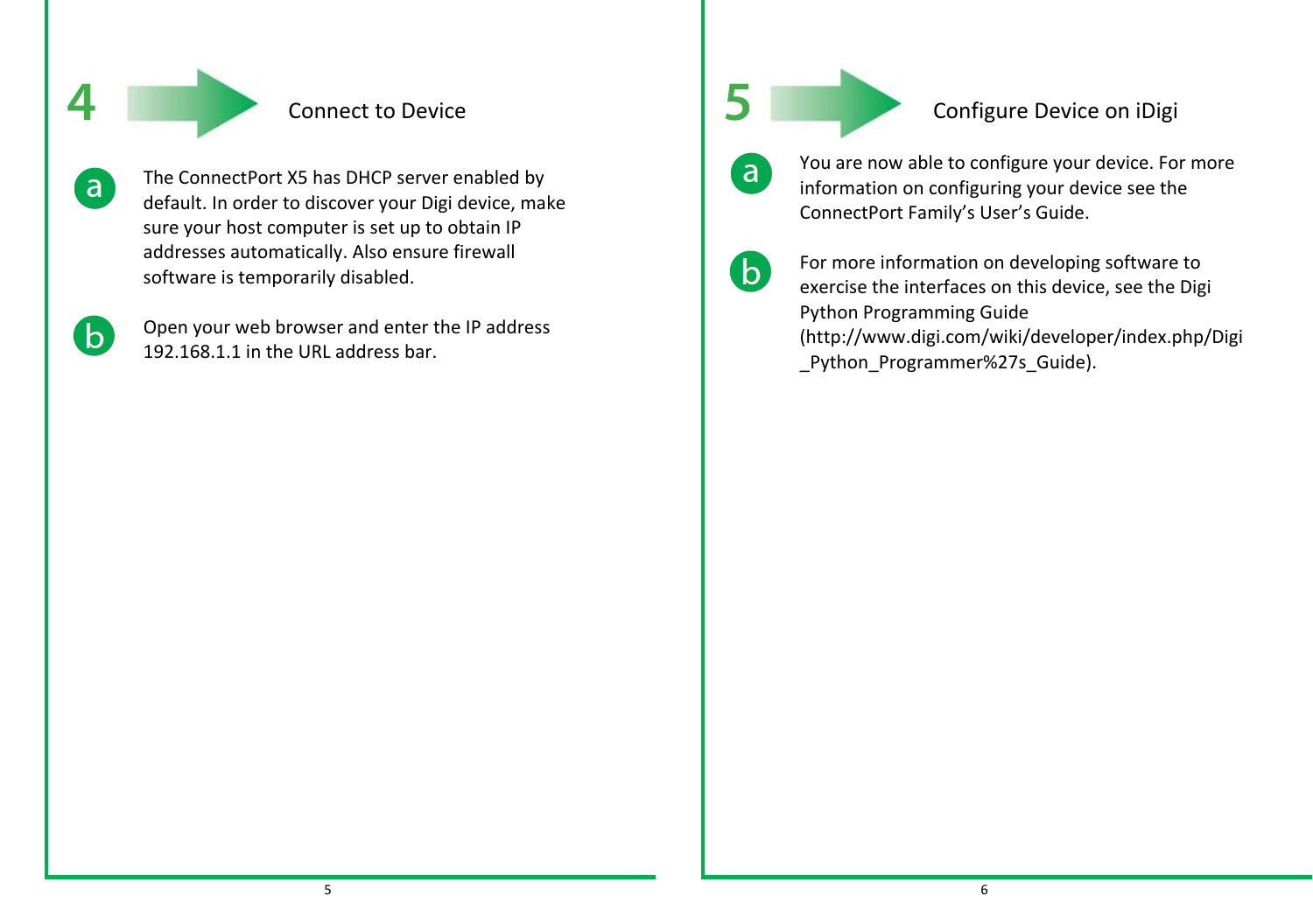

# Connect to Device

The ConnectPort X5 has DHCP server enabled by default. In order to discover your Digi device, make sure your host computer is set up to obtain IP addresses automatically. Also ensure firewall software is temporarily disabled.

 $\Delta$ 

 $\mathsf{a}$ 

Open your web browser and enter the IP address 192.168.1.1 in the URL address bar.

**5**

## Configure Device on iDigi

You are now able to configure your device. For more information on configuring your device see the ConnectPort Family's User's Guide.

**b** 

 $\mathsf{a}$ 

For more information on developing software to exercise the interfaces on this device, see the Digi Python Programming Guide (http://www.digi.com/wiki/developer/index.php/Digi \_Python\_Programmer%27s\_Guide).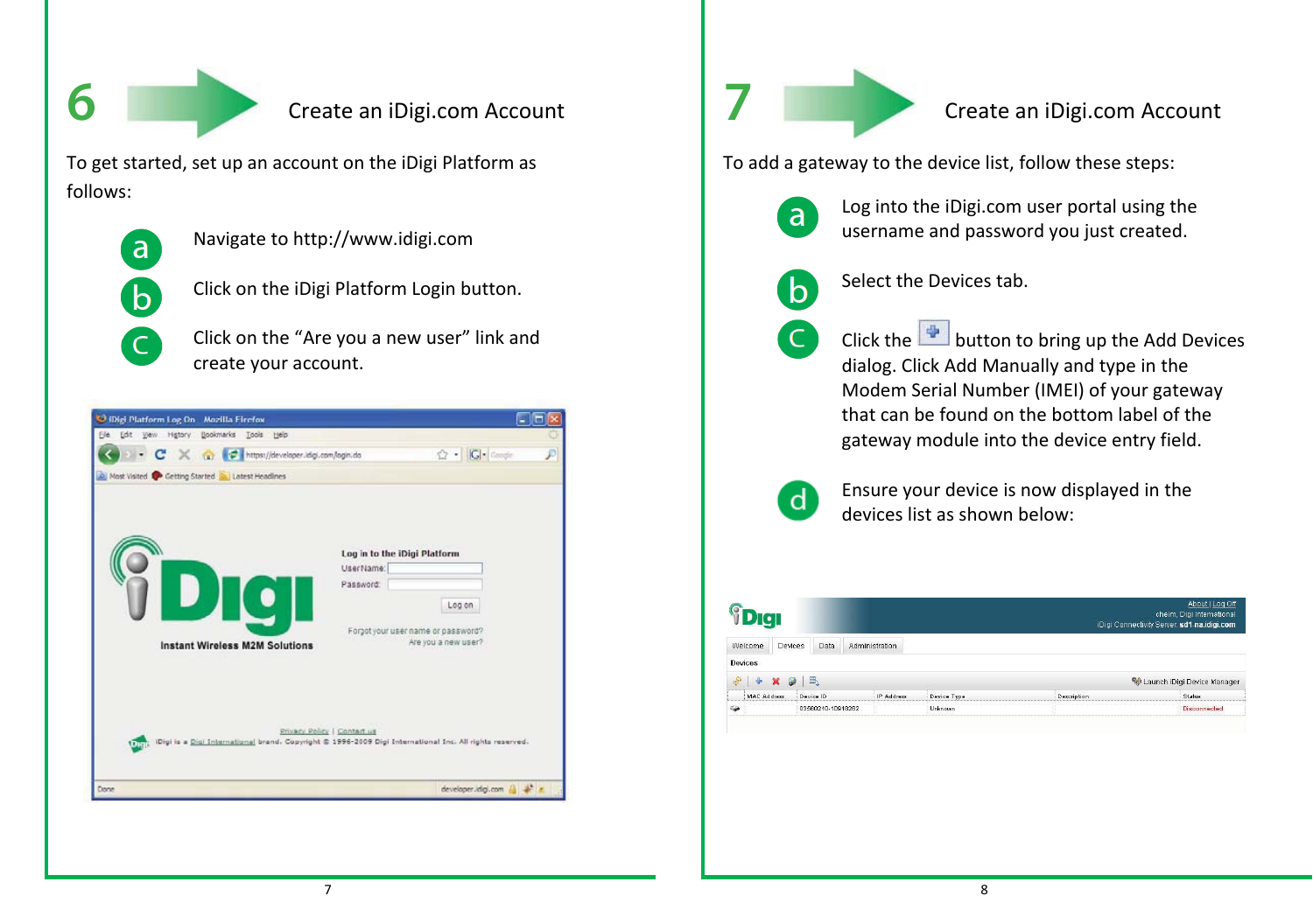**6**

#### Create an iDigi.com Account

To get started, set up an account on the iDigi Platform as follows:



 $\overline{\mathsf{C}}$ 

- Navigate to http://www.idigi.com
- $\mathbf b$ 
	- Click on the iDigi Platform Login button.
	- Click on the "Are you <sup>a</sup> new user" link and create your account.





### Create an iDigi.com Account

To add <sup>a</sup> gateway to the device list, follow these steps:



Log into the iDigi.com user portal using the username and password you just created.



Select the Devices tab.

Click the **button to bring up the Add Devices** dialog. Click Add Manually and type in the Modem Serial Number (IMEI) of your gateway that can be found on the bottom label of the gateway module into the device entry field.



Ensure your device is now displayed in the devices list as shown below:

|                |         |           |                |             |             | About I Log Off<br>cheim, Digi International<br>iDigi Connectivity Server: sd1-na.idigi.com |
|----------------|---------|-----------|----------------|-------------|-------------|---------------------------------------------------------------------------------------------|
| Welcome        | Devices | Data      | Administration |             |             |                                                                                             |
| <b>Devices</b> |         | 冊         |                |             |             | Launch iDigi Device Manager                                                                 |
|                |         |           |                |             |             |                                                                                             |
|                |         |           |                |             |             |                                                                                             |
| MAC Address    |         | Device ID | IP Address     | Device Type | Description | Status                                                                                      |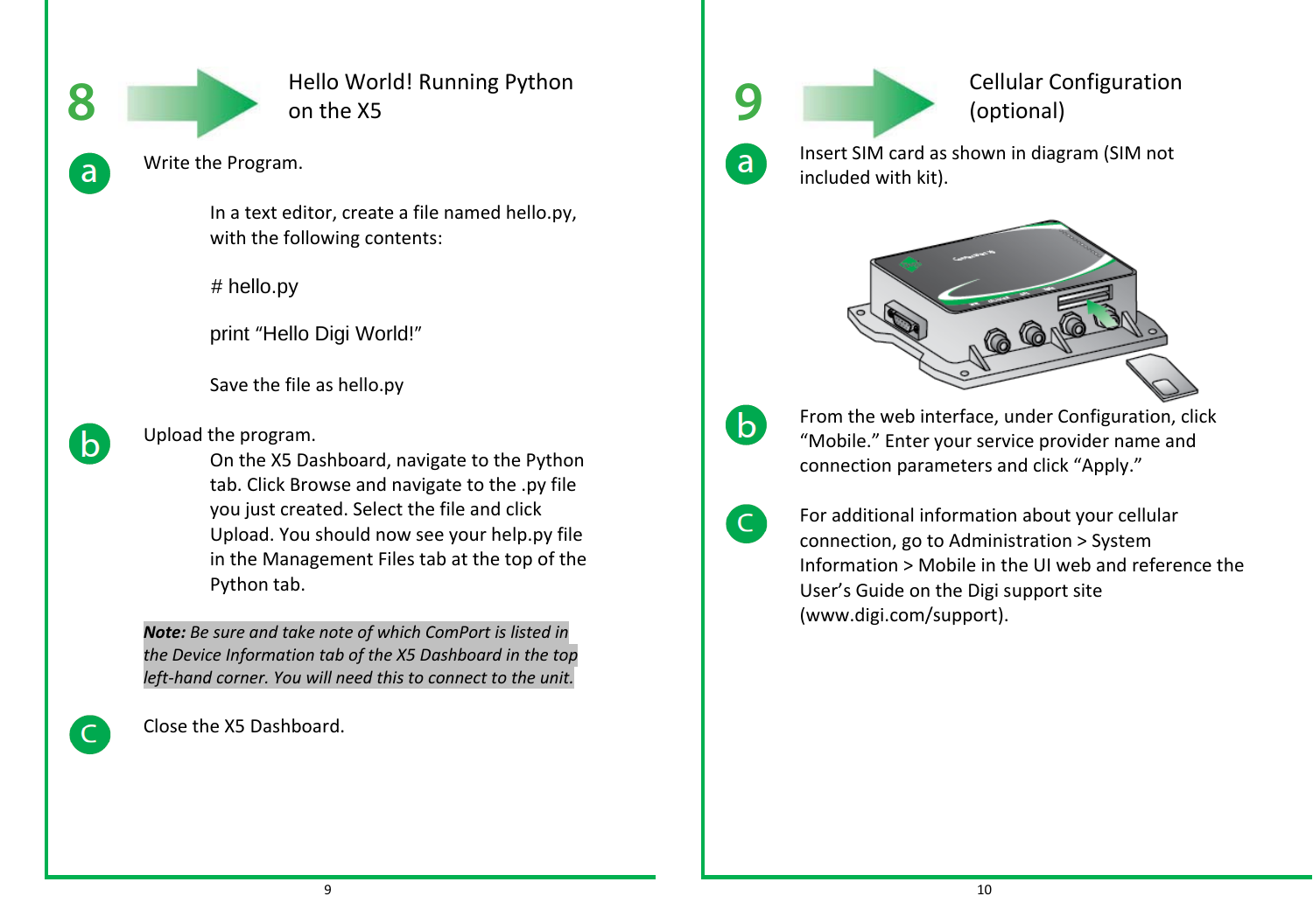

Hello World! Running Python on the X5



b

Write the Program.

In <sup>a</sup> text editor, create <sup>a</sup> file named hello.py, with the following contents:

# hello.py

print "Hello Digi World!"

Save the file as hello.py

Upload the program.

On the X5 Dashboard, navigate to the Python tab. Click Browse and navigate to the .py file you just created. Select the file and click Upload. You should now see your help.py file in the Management Files tab at the top of the Python tab.

*Note: Be sure and take note of which ComPort is listed in the Device Information tab of the X5 Dashboard in the top left‐hand corner. You will need this to connect to the unit.*

Close the X5 Dashboard.



 Cellular Configuration (optional) Insert SIM card as shown in diagram (SIM not

included with kit).



From the web interface, under Configuration, click "Mobile." Enter your service provider name and connection parameters and click "Apply."



For additional information about your cellular connection, go to Administration <sup>&</sup>gt; System Information <sup>&</sup>gt; Mobile in the UI web and reference the User's Guide on the Digi support site (www.digi.com/support).